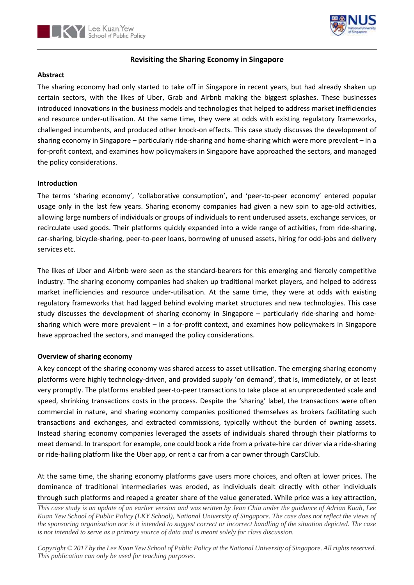



# **Revisiting the Sharing Economy in Singapore**

## **Abstract**

The sharing economy had only started to take off in Singapore in recent years, but had already shaken up certain sectors, with the likes of Uber, Grab and Airbnb making the biggest splashes. These businesses introduced innovations in the business models and technologies that helped to address market inefficiencies and resource under-utilisation. At the same time, they were at odds with existing regulatory frameworks, challenged incumbents, and produced other knock-on effects. This case study discusses the development of sharing economy in Singapore – particularly ride-sharing and home-sharing which were more prevalent – in a for-profit context, and examines how policymakers in Singapore have approached the sectors, and managed the policy considerations.

# **Introduction**

The terms 'sharing economy', 'collaborative consumption', and 'peer-to-peer economy' entered popular usage only in the last few years. Sharing economy companies had given a new spin to age-old activities, allowing large numbers of individuals or groups of individuals to rent underused assets, exchange services, or recirculate used goods. Their platforms quickly expanded into a wide range of activities, from ride-sharing, car-sharing, bicycle-sharing, peer-to-peer loans, borrowing of unused assets, hiring for odd-jobs and delivery services etc.

The likes of Uber and Airbnb were seen as the standard-bearers for this emerging and fiercely competitive industry. The sharing economy companies had shaken up traditional market players, and helped to address market inefficiencies and resource under-utilisation. At the same time, they were at odds with existing regulatory frameworks that had lagged behind evolving market structures and new technologies. This case study discusses the development of sharing economy in Singapore – particularly ride-sharing and homesharing which were more prevalent – in a for-profit context, and examines how policymakers in Singapore have approached the sectors, and managed the policy considerations.

# **Overview of sharing economy**

A key concept of the sharing economy was shared access to asset utilisation. The emerging sharing economy platforms were highly technology-driven, and provided supply 'on demand', that is, immediately, or at least very promptly. The platforms enabled peer-to-peer transactions to take place at an unprecedented scale and speed, shrinking transactions costs in the process. Despite the 'sharing' label, the transactions were often commercial in nature, and sharing economy companies positioned themselves as brokers facilitating such transactions and exchanges, and extracted commissions, typically without the burden of owning assets. Instead sharing economy companies leveraged the assets of individuals shared through their platforms to meet demand. In transport for example, one could book a ride from a private-hire car driver via a ride-sharing or ride-hailing platform like the Uber app, or rent a car from a car owner through CarsClub.

At the same time, the sharing economy platforms gave users more choices, and often at lower prices. The dominance of traditional intermediaries was eroded, as individuals dealt directly with other individuals through such platforms and reaped a greater share of the value generated. While price was a key attraction,

*This case study is an update of an earlier version and was written by Jean Chia under the guidance of Adrian Kuah, Lee Kuan Yew School of Public Policy (LKY School), National University of Singapore. The case does not reflect the views of the sponsoring organization nor is it intended to suggest correct or incorrect handling of the situation depicted. The case is not intended to serve as a primary source of data and is meant solely for class discussion.*

*Copyright © 2017 by the Lee Kuan Yew School of Public Policy at the National University of Singapore. All rights reserved. This publication can only be used for teaching purposes.*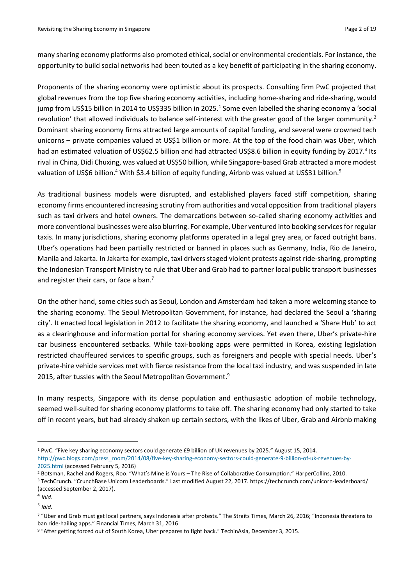many sharing economy platforms also promoted ethical, social or environmental credentials. For instance, the opportunity to build social networks had been touted as a key benefit of participating in the sharing economy.

Proponents of the sharing economy were optimistic about its prospects. Consulting firm PwC projected that global revenues from the top five sharing economy activities, including home-sharing and ride-sharing, would jump from US\$15 billion in 2014 to US\$335 billion in 2025.<sup>1</sup> Some even labelled the sharing economy a 'social revolution' that allowed individuals to balance self-interest with the greater good of the larger community.<sup>2</sup> Dominant sharing economy firms attracted large amounts of capital funding, and several were crowned tech unicorns – private companies valued at US\$1 billion or more. At the top of the food chain was Uber, which had an estimated valuation of US\$62.5 billion and had attracted US\$8.6 billion in equity funding by 2017.<sup>3</sup> Its rival in China, Didi Chuxing, was valued at US\$50 billion, while Singapore-based Grab attracted a more modest valuation of US\$6 billion.<sup>4</sup> With \$3.4 billion of equity funding, Airbnb was valued at US\$31 billion.<sup>5</sup>

As traditional business models were disrupted, and established players faced stiff competition, sharing economy firms encountered increasing scrutiny from authorities and vocal opposition from traditional players such as taxi drivers and hotel owners. The demarcations between so-called sharing economy activities and more conventional businesses were also blurring. For example, Uber ventured into booking services for regular taxis. In many jurisdictions, sharing economy platforms operated in a legal grey area, or faced outright bans. Uber's operations had been partially restricted or banned in places such as Germany, India, Rio de Janeiro, Manila and Jakarta. In Jakarta for example, taxi drivers staged violent protests against ride-sharing, prompting the Indonesian Transport Ministry to rule that Uber and Grab had to partner local public transport businesses and register their cars, or face a ban.<sup>7</sup>

On the other hand, some cities such as Seoul, London and Amsterdam had taken a more welcoming stance to the sharing economy. The Seoul Metropolitan Government, for instance, had declared the Seoul a 'sharing city'. It enacted local legislation in 2012 to facilitate the sharing economy, and launched a 'Share Hub' to act as a clearinghouse and information portal for sharing economy services. Yet even there, Uber's private-hire car business encountered setbacks. While taxi-booking apps were permitted in Korea, existing legislation restricted chauffeured services to specific groups, such as foreigners and people with special needs. Uber's private-hire vehicle services met with fierce resistance from the local taxi industry, and was suspended in late 2015, after tussles with the Seoul Metropolitan Government.<sup>9</sup>

In many respects, Singapore with its dense population and enthusiastic adoption of mobile technology, seemed well-suited for sharing economy platforms to take off. The sharing economy had only started to take off in recent years, but had already shaken up certain sectors, with the likes of Uber, Grab and Airbnb making

 $\overline{\phantom{a}}$ 

<sup>1</sup> PwC. "Five key sharing economy sectors could generate £9 billion of UK revenues by 2025." August 15, 2014. [http://pwc.blogs.com/press\\_room/2014/08/five-key-sharing-economy-sectors-could-generate-9-billion-of-uk-revenues-by-](http://pwc.blogs.com/press_room/2014/08/five-key-sharing-economy-sectors-could-generate-9-billion-of-uk-revenues-by-2025.html)[2025.html](http://pwc.blogs.com/press_room/2014/08/five-key-sharing-economy-sectors-could-generate-9-billion-of-uk-revenues-by-2025.html) (accessed February 5, 2016)

<sup>2</sup> Botsman, Rachel and Rogers, Roo. "What's Mine is Yours – The Rise of Collaborative Consumption." HarperCollins, 2010.

<sup>3</sup> TechCrunch. "CrunchBase Unicorn Leaderboards." Last modified August 22, 2017. https://techcrunch.com/unicorn-leaderboard/ (accessed September 2, 2017).

<sup>4</sup> *Ibid.*

<sup>5</sup> *Ibid.*

<sup>7</sup> "Uber and Grab must get local partners, says Indonesia after protests." The Straits Times, March 26, 2016; "Indonesia threatens to ban ride-hailing apps." Financial Times, March 31, 2016

<sup>9</sup> "After getting forced out of South Korea, Uber prepares to fight back." TechinAsia, December 3, 2015.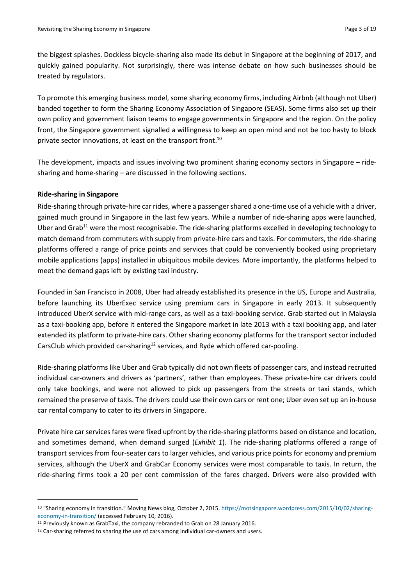the biggest splashes. Dockless bicycle-sharing also made its debut in Singapore at the beginning of 2017, and quickly gained popularity. Not surprisingly, there was intense debate on how such businesses should be treated by regulators.

To promote this emerging business model, some sharing economy firms, including Airbnb (although not Uber) banded together to form the Sharing Economy Association of Singapore (SEAS). Some firms also set up their own policy and government liaison teams to engage governments in Singapore and the region. On the policy front, the Singapore government signalled a willingness to keep an open mind and not be too hasty to block private sector innovations, at least on the transport front.<sup>10</sup>

The development, impacts and issues involving two prominent sharing economy sectors in Singapore – ridesharing and home-sharing – are discussed in the following sections.

### **Ride-sharing in Singapore**

**.** 

Ride-sharing through private-hire car rides, where a passenger shared a one-time use of a vehicle with a driver, gained much ground in Singapore in the last few years. While a number of ride-sharing apps were launched, Uber and Grab<sup>11</sup> were the most recognisable. The ride-sharing platforms excelled in developing technology to match demand from commuters with supply from private-hire cars and taxis. For commuters, the ride-sharing platforms offered a range of price points and services that could be conveniently booked using proprietary mobile applications (apps) installed in ubiquitous mobile devices. More importantly, the platforms helped to meet the demand gaps left by existing taxi industry.

Founded in San Francisco in 2008, Uber had already established its presence in the US, Europe and Australia, before launching its UberExec service using premium cars in Singapore in early 2013. It subsequently introduced UberX service with mid-range cars, as well as a taxi-booking service. Grab started out in Malaysia as a taxi-booking app, before it entered the Singapore market in late 2013 with a taxi booking app, and later extended its platform to private-hire cars. Other sharing economy platforms for the transport sector included CarsClub which provided car-sharing<sup>12</sup> services, and Ryde which offered car-pooling.

Ride-sharing platforms like Uber and Grab typically did not own fleets of passenger cars, and instead recruited individual car-owners and drivers as 'partners', rather than employees. These private-hire car drivers could only take bookings, and were not allowed to pick up passengers from the streets or taxi stands, which remained the preserve of taxis. The drivers could use their own cars or rent one; Uber even set up an in-house car rental company to cater to its drivers in Singapore.

Private hire car services fares were fixed upfront by the ride-sharing platforms based on distance and location, and sometimes demand, when demand surged (*Exhibit 1*). The ride-sharing platforms offered a range of transport services from four-seater cars to larger vehicles, and various price points for economy and premium services, although the UberX and GrabCar Economy services were most comparable to taxis. In return, the ride-sharing firms took a 20 per cent commission of the fares charged. Drivers were also provided with

<sup>10</sup> "Sharing economy in transition." Moving News blog, October 2, 2015. [https://motsingapore.wordpress.com/2015/10/02/sharing](https://motsingapore.wordpress.com/2015/10/02/sharing-economy-in-transition/)[economy-in-transition/](https://motsingapore.wordpress.com/2015/10/02/sharing-economy-in-transition/) (accessed February 10, 2016).

<sup>11</sup> Previously known as GrabTaxi, the company rebranded to Grab on 28 January 2016.

<sup>&</sup>lt;sup>12</sup> Car-sharing referred to sharing the use of cars among individual car-owners and users.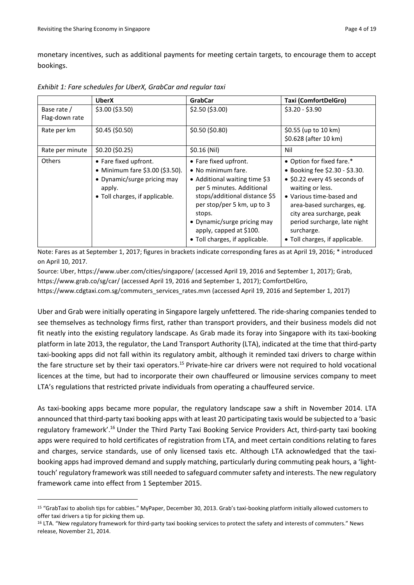**.** 

monetary incentives, such as additional payments for meeting certain targets, to encourage them to accept bookings.

|                               | <b>UberX</b>                                                                                                                        | <b>GrabCar</b>                                                                                                                                                                                                                                                                 | <b>Taxi (ComfortDelGro)</b>                                                                                                                                                                                                                                                            |
|-------------------------------|-------------------------------------------------------------------------------------------------------------------------------------|--------------------------------------------------------------------------------------------------------------------------------------------------------------------------------------------------------------------------------------------------------------------------------|----------------------------------------------------------------------------------------------------------------------------------------------------------------------------------------------------------------------------------------------------------------------------------------|
| Base rate /<br>Flag-down rate | \$3.00 (\$3.50)                                                                                                                     | $$2.50$ (\$3.00)                                                                                                                                                                                                                                                               | $$3.20 - $3.90$                                                                                                                                                                                                                                                                        |
| Rate per km                   | $$0.45$ (\$0.50)                                                                                                                    | \$0.50 (\$0.80)                                                                                                                                                                                                                                                                | \$0.55 (up to 10 km)<br>\$0.628 (after 10 km)                                                                                                                                                                                                                                          |
| Rate per minute               | \$0.20 (\$0.25)                                                                                                                     | $$0.16$ (Nil)                                                                                                                                                                                                                                                                  | Nil                                                                                                                                                                                                                                                                                    |
| Others                        | • Fare fixed upfront.<br>• Minimum fare \$3.00 (\$3.50).<br>• Dynamic/surge pricing may<br>apply.<br>• Toll charges, if applicable. | • Fare fixed upfront.<br>• No minimum fare.<br>• Additional waiting time \$3<br>per 5 minutes. Additional<br>stops/additional distance \$5<br>per stop/per 5 km, up to 3<br>stops.<br>• Dynamic/surge pricing may<br>apply, capped at \$100.<br>• Toll charges, if applicable. | • Option for fixed fare.*<br>• Booking fee \$2.30 - \$3.30.<br>• \$0.22 every 45 seconds of<br>waiting or less.<br>• Various time-based and<br>area-based surcharges, eg.<br>city area surcharge, peak<br>period surcharge, late night<br>surcharge.<br>• Toll charges, if applicable. |

*Exhibit 1: Fare schedules for UberX, GrabCar and regular taxi*

Note: Fares as at September 1, 2017; figures in brackets indicate corresponding fares as at April 19, 2016; \* introduced on April 10, 2017.

Source: Uber, <https://www.uber.com/cities/singapore/> (accessed April 19, 2016 and September 1, 2017); Grab, <https://www.grab.co/sg/car/> (accessed April 19, 2016 and September 1, 2017); ComfortDelGro,

https://www.cdgtaxi.com.sg/commuters\_services\_rates.mvn (accessed April 19, 2016 and September 1, 2017)

Uber and Grab were initially operating in Singapore largely unfettered. The ride-sharing companies tended to see themselves as technology firms first, rather than transport providers, and their business models did not fit neatly into the existing regulatory landscape. As Grab made its foray into Singapore with its taxi-booking platform in late 2013, the regulator, the Land Transport Authority (LTA), indicated at the time that third-party taxi-booking apps did not fall within its regulatory ambit, although it reminded taxi drivers to charge within the fare structure set by their taxi operators.<sup>15</sup> Private-hire car drivers were not required to hold vocational licences at the time, but had to incorporate their own chauffeured or limousine services company to meet LTA's regulations that restricted private individuals from operating a chauffeured service.

As taxi-booking apps became more popular, the regulatory landscape saw a shift in November 2014. LTA announced that third-party taxi booking apps with at least 20 participating taxis would be subjected to a 'basic regulatory framework'.<sup>16</sup> Under the Third Party Taxi Booking Service Providers Act, third-party taxi booking apps were required to hold certificates of registration from LTA, and meet certain conditions relating to fares and charges, service standards, use of only licensed taxis etc. Although LTA acknowledged that the taxibooking apps had improved demand and supply matching, particularly during commuting peak hours, a 'lighttouch' regulatory framework was still needed to safeguard commuter safety and interests. The new regulatory framework came into effect from 1 September 2015.

<sup>15</sup> "GrabTaxi to abolish tips for cabbies." MyPaper, December 30, 2013. Grab's taxi-booking platform initially allowed customers to offer taxi drivers a tip for picking them up.

<sup>16</sup> LTA. "New regulatory framework for third-party taxi booking services to protect the safety and interests of commuters." News release, November 21, 2014.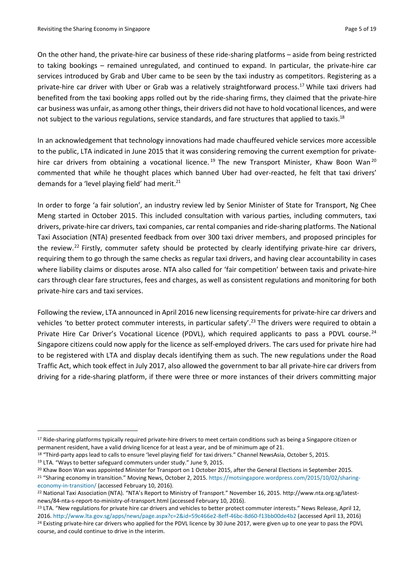On the other hand, the private-hire car business of these ride-sharing platforms – aside from being restricted to taking bookings – remained unregulated, and continued to expand. In particular, the private-hire car services introduced by Grab and Uber came to be seen by the taxi industry as competitors. Registering as a private-hire car driver with Uber or Grab was a relatively straightforward process.<sup>17</sup> While taxi drivers had benefited from the taxi booking apps rolled out by the ride-sharing firms, they claimed that the private-hire car business was unfair, as among other things, their drivers did not have to hold vocational licences, and were not subject to the various regulations, service standards, and fare structures that applied to taxis.<sup>18</sup>

In an acknowledgement that technology innovations had made chauffeured vehicle services more accessible to the public, LTA indicated in June 2015 that it was considering removing the current exemption for privatehire car drivers from obtaining a vocational licence.<sup>19</sup> The new Transport Minister, Khaw Boon Wan<sup>20</sup> commented that while he thought places which banned Uber had over-reacted, he felt that taxi drivers' demands for a 'level playing field' had merit.<sup>21</sup>

In order to forge 'a fair solution', an industry review led by Senior Minister of State for Transport, Ng Chee Meng started in October 2015. This included consultation with various parties, including commuters, taxi drivers, private-hire car drivers, taxi companies, car rental companies and ride-sharing platforms. The National Taxi Association (NTA) presented feedback from over 300 taxi driver members, and proposed principles for the review.<sup>22</sup> Firstly, commuter safety should be protected by clearly identifying private-hire car drivers, requiring them to go through the same checks as regular taxi drivers, and having clear accountability in cases where liability claims or disputes arose. NTA also called for 'fair competition' between taxis and private-hire cars through clear fare structures, fees and charges, as well as consistent regulations and monitoring for both private-hire cars and taxi services.

Following the review, LTA announced in April 2016 new licensing requirements for private-hire car drivers and vehicles 'to better protect commuter interests, in particular safety'.<sup>23</sup> The drivers were required to obtain a Private Hire Car Driver's Vocational Licence (PDVL), which required applicants to pass a PDVL course.<sup>24</sup> Singapore citizens could now apply for the licence as self-employed drivers. The cars used for private hire had to be registered with LTA and display decals identifying them as such. The new regulations under the Road Traffic Act, which took effect in July 2017, also allowed the government to bar all private-hire car drivers from driving for a ride-sharing platform, if there were three or more instances of their drivers committing major

1

<sup>&</sup>lt;sup>17</sup> Ride-sharing platforms typically required private-hire drivers to meet certain conditions such as being a Singapore citizen or permanent resident, have a valid driving licence for at least a year, and be of minimum age of 21.

<sup>&</sup>lt;sup>18</sup> "Third-party apps lead to calls to ensure 'level playing field' for taxi drivers." Channel NewsAsia, October 5, 2015.

<sup>19</sup> LTA. "Ways to better safeguard commuters under study." June 9, 2015.

<sup>&</sup>lt;sup>20</sup> Khaw Boon Wan was appointed Minister for Transport on 1 October 2015, after the General Elections in September 2015.

<sup>&</sup>lt;sup>21</sup> "Sharing economy in transition." Moving News, October 2, 2015. [https://motsingapore.wordpress.com/2015/10/02/sharing](https://motsingapore.wordpress.com/2015/10/02/sharing-economy-in-transition/)[economy-in-transition/](https://motsingapore.wordpress.com/2015/10/02/sharing-economy-in-transition/) (accessed February 10, 2016).

<sup>22</sup> National Taxi Association (NTA). "NTA's Report to Ministry of Transport." November 16, 2015. [http://www.nta.org.sg/latest](http://www.nta.org.sg/latest-news/84-nta-s-report-to-ministry-of-transport.html)[news/84-nta-s-report-to-ministry-of-transport.html](http://www.nta.org.sg/latest-news/84-nta-s-report-to-ministry-of-transport.html) (accessed February 10, 2016).

<sup>&</sup>lt;sup>23</sup> LTA. "New regulations for private hire car drivers and vehicles to better protect commuter interests." News Release, April 12, 2016[. http://www.lta.gov.sg/apps/news/page.aspx?c=2&id=59c466e2-8eff-46bc-8d60-f13bb00de4b2](http://www.lta.gov.sg/apps/news/page.aspx?c=2&id=59c466e2-8eff-46bc-8d60-f13bb00de4b2) (accessed April 13, 2016) <sup>24</sup> Existing private-hire car drivers who applied for the PDVL licence by 30 June 2017, were given up to one year to pass the PDVL course, and could continue to drive in the interim.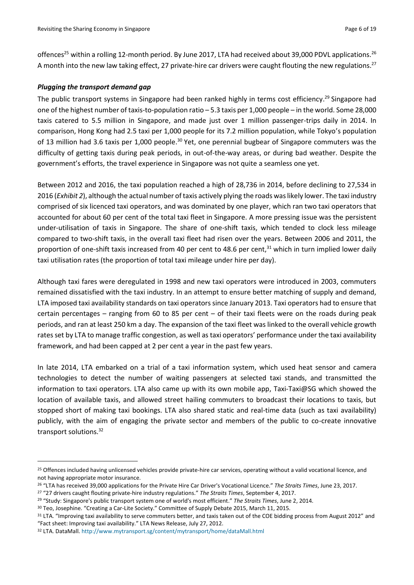offences<sup>25</sup> within a rolling 12-month period. By June 2017, LTA had received about 39,000 PDVL applications.<sup>26</sup> A month into the new law taking effect, 27 private-hire car drivers were caught flouting the new regulations.<sup>27</sup>

### *Plugging the transport demand gap*

The public transport systems in Singapore had been ranked highly in terms cost efficiency.<sup>29</sup> Singapore had one of the highest number of taxis-to-population ratio – 5.3 taxis per 1,000 people – in the world. Some 28,000 taxis catered to 5.5 million in Singapore, and made just over 1 million passenger-trips daily in 2014. In comparison, Hong Kong had 2.5 taxi per 1,000 people for its 7.2 million population, while Tokyo's population of 13 million had 3.6 taxis per 1,000 people.<sup>30</sup> Yet, one perennial bugbear of Singapore commuters was the difficulty of getting taxis during peak periods, in out-of-the-way areas, or during bad weather. Despite the government's efforts, the travel experience in Singapore was not quite a seamless one yet.

Between 2012 and 2016, the taxi population reached a high of 28,736 in 2014, before declining to 27,534 in 2016 (*Exhibit 2*), although the actual number of taxis actively plying the roads was likely lower. The taxi industry comprised of six licenced taxi operators, and was dominated by one player, which ran two taxi operators that accounted for about 60 per cent of the total taxi fleet in Singapore. A more pressing issue was the persistent under-utilisation of taxis in Singapore. The share of one-shift taxis, which tended to clock less mileage compared to two-shift taxis, in the overall taxi fleet had risen over the years. Between 2006 and 2011, the proportion of one-shift taxis increased from 40 per cent to 48.6 per cent,<sup>31</sup> which in turn implied lower daily taxi utilisation rates (the proportion of total taxi mileage under hire per day).

Although taxi fares were deregulated in 1998 and new taxi operators were introduced in 2003, commuters remained dissatisfied with the taxi industry. In an attempt to ensure better matching of supply and demand, LTA imposed taxi availability standards on taxi operators since January 2013. Taxi operators had to ensure that certain percentages – ranging from 60 to 85 per cent – of their taxi fleets were on the roads during peak periods, and ran at least 250 km a day. The expansion of the taxi fleet was linked to the overall vehicle growth rates set by LTA to manage traffic congestion, as well as taxi operators' performance under the taxi availability framework, and had been capped at 2 per cent a year in the past few years.

In late 2014, LTA embarked on a trial of a taxi information system, which used heat sensor and camera technologies to detect the number of waiting passengers at selected taxi stands, and transmitted the information to taxi operators. LTA also came up with its own mobile app, Taxi-Taxi@SG which showed the location of available taxis, and allowed street hailing commuters to broadcast their locations to taxis, but stopped short of making taxi bookings. LTA also shared static and real-time data (such as taxi availability) publicly, with the aim of engaging the private sector and members of the public to co-create innovative transport solutions.<sup>32</sup>

 $\overline{\phantom{a}}$ 

<sup>&</sup>lt;sup>25</sup> Offences included having unlicensed vehicles provide private-hire car services, operating without a valid vocational licence, and not having appropriate motor insurance.

<sup>26</sup> "LTA has received 39,000 applications for the Private Hire Car Driver's Vocational Licence." *The Straits Times*, June 23, 2017.

<sup>27</sup> "27 drivers caught flouting private-hire industry regulations." *The Straits Times*, September 4, 2017.

<sup>29</sup> "Study: Singapore's public transport system one of world's most efficient." *The Straits Times*, June 2, 2014.

<sup>30</sup> Teo, Josephine. "Creating a Car-Lite Society." Committee of Supply Debate 2015, March 11, 2015.

<sup>31</sup> LTA. "Improving taxi availability to serve commuters better, and taxis taken out of the COE bidding process from August 2012" and "Fact sheet: Improving taxi availability." LTA News Release, July 27, 2012.

<sup>32</sup> LTA. DataMall[. http://www.mytransport.sg/content/mytransport/home/dataMall.html](http://www.mytransport.sg/content/mytransport/home/dataMall.html)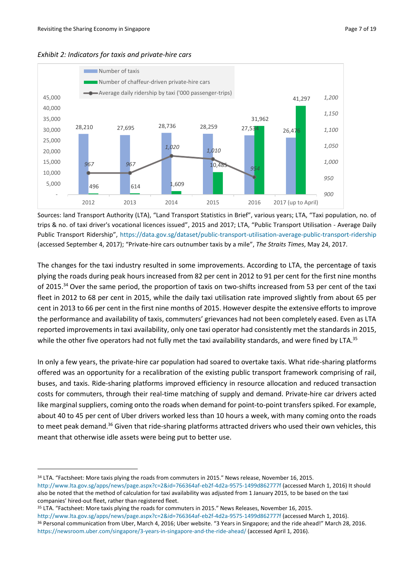



Sources: land Transport Authority (LTA), "Land Transport Statistics in Brief", various years; LTA, "Taxi population, no. of trips & no. of taxi driver's vocational licences issued", 2015 and 2017; LTA, "Public Transport Utilisation - Average Daily Public Transport Ridership", <https://data.gov.sg/dataset/public-transport-utilisation-average-public-transport-ridership> (accessed September 4, 2017); "Private-hire cars outnumber taxis by a mile", *The Straits Times*, May 24, 2017.

The changes for the taxi industry resulted in some improvements. According to LTA, the percentage of taxis plying the roads during peak hours increased from 82 per cent in 2012 to 91 per cent for the first nine months of 2015.<sup>34</sup> Over the same period, the proportion of taxis on two-shifts increased from 53 per cent of the taxi fleet in 2012 to 68 per cent in 2015, while the daily taxi utilisation rate improved slightly from about 65 per cent in 2013 to 66 per cent in the first nine months of 2015. However despite the extensive efforts to improve the performance and availability of taxis, commuters' grievances had not been completely eased. Even as LTA reported improvements in taxi availability, only one taxi operator had consistently met the standards in 2015, while the other five operators had not fully met the taxi availability standards, and were fined by LTA.<sup>35</sup>

In only a few years, the private-hire car population had soared to overtake taxis. What ride-sharing platforms offered was an opportunity for a recalibration of the existing public transport framework comprising of rail, buses, and taxis. Ride-sharing platforms improved efficiency in resource allocation and reduced transaction costs for commuters, through their real-time matching of supply and demand. Private-hire car drivers acted like marginal suppliers, coming onto the roads when demand for point-to-point transfers spiked. For example, about 40 to 45 per cent of Uber drivers worked less than 10 hours a week, with many coming onto the roads to meet peak demand.<sup>36</sup> Given that ride-sharing platforms attracted drivers who used their own vehicles, this meant that otherwise idle assets were being put to better use.

**.** 

<sup>&</sup>lt;sup>34</sup> LTA. "Factsheet: More taxis plying the roads from commuters in 2015." News release, November 16, 2015.

<http://www.lta.gov.sg/apps/news/page.aspx?c=2&id=766364af-eb2f-4d2a-9575-1499d862777f> (accessed March 1, 2016) It should also be noted that the method of calculation for taxi availability was adjusted from 1 January 2015, to be based on the taxi companies' hired-out fleet, rather than registered fleet.

<sup>&</sup>lt;sup>35</sup> LTA. "Factsheet: More taxis plying the roads for commuters in 2015." News Releases, November 16, 2015.

<http://www.lta.gov.sg/apps/news/page.aspx?c=2&id=766364af-eb2f-4d2a-9575-1499d862777f> (accessed March 1, 2016). <sup>36</sup> Personal communication from Uber, March 4, 2016; Uber website. "3 Years in Singapore; and the ride ahead!" March 28, 2016. <https://newsroom.uber.com/singapore/3-years-in-singapore-and-the-ride-ahead/> (accessed April 1, 2016).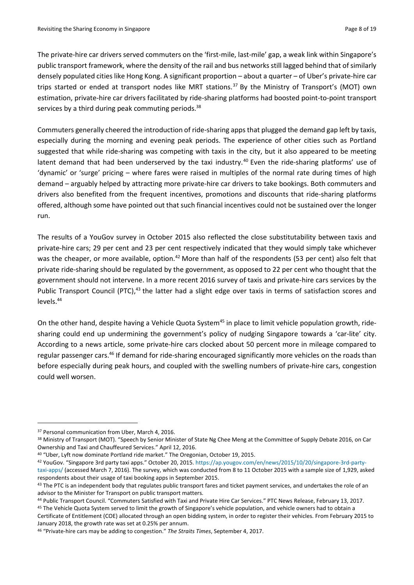The private-hire car drivers served commuters on the 'first-mile, last-mile' gap, a weak link within Singapore's public transport framework, where the density of the rail and bus networks still lagged behind that of similarly densely populated cities like Hong Kong. A significant proportion – about a quarter – of Uber's private-hire car trips started or ended at transport nodes like MRT stations.<sup>37</sup> By the Ministry of Transport's (MOT) own estimation, private-hire car drivers facilitated by ride-sharing platforms had boosted point-to-point transport services by a third during peak commuting periods.<sup>38</sup>

Commuters generally cheered the introduction of ride-sharing apps that plugged the demand gap left by taxis, especially during the morning and evening peak periods. The experience of other cities such as Portland suggested that while ride-sharing was competing with taxis in the city, but it also appeared to be meeting latent demand that had been underserved by the taxi industry.<sup>40</sup> Even the ride-sharing platforms' use of 'dynamic' or 'surge' pricing – where fares were raised in multiples of the normal rate during times of high demand – arguably helped by attracting more private-hire car drivers to take bookings. Both commuters and drivers also benefited from the frequent incentives, promotions and discounts that ride-sharing platforms offered, although some have pointed out that such financial incentives could not be sustained over the longer run.

The results of a YouGov survey in October 2015 also reflected the close substitutability between taxis and private-hire cars; 29 per cent and 23 per cent respectively indicated that they would simply take whichever was the cheaper, or more available, option.<sup>42</sup> More than half of the respondents (53 per cent) also felt that private ride-sharing should be regulated by the government, as opposed to 22 per cent who thought that the government should not intervene. In a more recent 2016 survey of taxis and private-hire cars services by the Public Transport Council (PTC),<sup>43</sup> the latter had a slight edge over taxis in terms of satisfaction scores and levels.<sup>44</sup>

On the other hand, despite having a Vehicle Quota System<sup>45</sup> in place to limit vehicle population growth, ridesharing could end up undermining the government's policy of nudging Singapore towards a 'car-lite' city. According to a news article, some private-hire cars clocked about 50 percent more in mileage compared to regular passenger cars.<sup>46</sup> If demand for ride-sharing encouraged significantly more vehicles on the roads than before especially during peak hours, and coupled with the swelling numbers of private-hire cars, congestion could well worsen.

**.** 

<sup>37</sup> Personal communication from Uber, March 4, 2016.

<sup>38</sup> Ministry of Transport (MOT). "Speech by Senior Minister of State Ng Chee Meng at the Committee of Supply Debate 2016, on Car Ownership and Taxi and Chauffeured Services." April 12, 2016.

<sup>40</sup> "Uber, Lyft now dominate Portland ride market." The Oregonian, October 19, 2015.

<sup>42</sup> YouGov. "Singapore 3rd party taxi apps." October 20, 2015. [https://ap.yougov.com/en/news/2015/10/20/singapore-3rd-party](https://ap.yougov.com/en/news/2015/10/20/singapore-3rd-party-taxi-apps/)[taxi-apps/](https://ap.yougov.com/en/news/2015/10/20/singapore-3rd-party-taxi-apps/) (accessed March 7, 2016). The survey, which was conducted from 8 to 11 October 2015 with a sample size of 1,929, asked respondents about their usage of taxi booking apps in September 2015.

<sup>&</sup>lt;sup>43</sup> The PTC is an independent body that regulates public transport fares and ticket payment services, and undertakes the role of an advisor to the Minister for Transport on public transport matters.

<sup>44</sup> Public Transport Council. "Commuters Satisfied with Taxi and Private Hire Car Services." PTC News Release, February 13, 2017. <sup>45</sup> The Vehicle Quota System served to limit the growth of Singapore's vehicle population, and vehicle owners had to obtain a

Certificate of Entitlement (COE) allocated through an open bidding system, in order to register their vehicles. From February 2015 to January 2018, the growth rate was set at 0.25% per annum.

<sup>46</sup> "Private-hire cars may be adding to congestion." *The Straits Times*, September 4, 2017.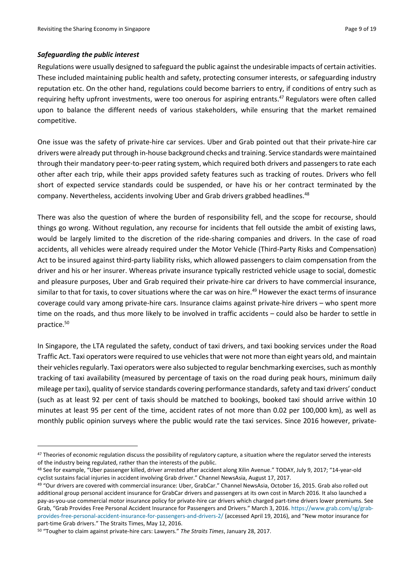### *Safeguarding the public interest*

**.** 

Regulations were usually designed to safeguard the public against the undesirable impacts of certain activities. These included maintaining public health and safety, protecting consumer interests, or safeguarding industry reputation etc. On the other hand, regulations could become barriers to entry, if conditions of entry such as requiring hefty upfront investments, were too onerous for aspiring entrants.<sup>47</sup> Regulators were often called upon to balance the different needs of various stakeholders, while ensuring that the market remained competitive.

One issue was the safety of private-hire car services. Uber and Grab pointed out that their private-hire car drivers were already put through in-house background checks and training. Service standards were maintained through their mandatory peer-to-peer rating system, which required both drivers and passengers to rate each other after each trip, while their apps provided safety features such as tracking of routes. Drivers who fell short of expected service standards could be suspended, or have his or her contract terminated by the company. Nevertheless, accidents involving Uber and Grab drivers grabbed headlines.<sup>48</sup>

There was also the question of where the burden of responsibility fell, and the scope for recourse, should things go wrong. Without regulation, any recourse for incidents that fell outside the ambit of existing laws, would be largely limited to the discretion of the ride-sharing companies and drivers. In the case of road accidents, all vehicles were already required under the Motor Vehicle (Third-Party Risks and Compensation) Act to be insured against third-party liability risks, which allowed passengers to claim compensation from the driver and his or her insurer. Whereas private insurance typically restricted vehicle usage to social, domestic and pleasure purposes, Uber and Grab required their private-hire car drivers to have commercial insurance, similar to that for taxis, to cover situations where the car was on hire. <sup>49</sup> However the exact terms of insurance coverage could vary among private-hire cars. Insurance claims against private-hire drivers – who spent more time on the roads, and thus more likely to be involved in traffic accidents – could also be harder to settle in practice. 50

In Singapore, the LTA regulated the safety, conduct of taxi drivers, and taxi booking services under the Road Traffic Act. Taxi operators were required to use vehicles that were not more than eight years old, and maintain their vehicles regularly. Taxi operators were also subjected to regular benchmarking exercises, such as monthly tracking of taxi availability (measured by percentage of taxis on the road during peak hours, minimum daily mileage per taxi), quality of service standards covering performance standards, safety and taxi drivers' conduct (such as at least 92 per cent of taxis should be matched to bookings, booked taxi should arrive within 10 minutes at least 95 per cent of the time, accident rates of not more than 0.02 per 100,000 km), as well as monthly public opinion surveys where the public would rate the taxi services. Since 2016 however, private-

<sup>47</sup> Theories of economic regulation discuss the possibility of regulatory capture, a situation where the regulator served the interests of the industry being regulated, rather than the interests of the public.

<sup>48</sup> See for example, "Uber passenger killed, driver arrested after accident along Xilin Avenue." TODAY, July 9, 2017; "14-year-old cyclist sustains facial injuries in accident involving Grab driver." Channel NewsAsia, August 17, 2017.

<sup>49</sup> "Our drivers are covered with commercial insurance: Uber, GrabCar." Channel NewsAsia, October 16, 2015. Grab also rolled out additional group personal accident insurance for GrabCar drivers and passengers at its own cost in March 2016. It also launched a pay-as-you-use commercial motor insurance policy for private-hire car drivers which charged part-time drivers lower premiums. See Grab, "Grab Provides Free Personal Accident Insurance for Passengers and Drivers." March 3, 2016. [https://www.grab.com/sg/grab](https://www.grab.com/sg/grab-provides-free-personal-accident-insurance-for-passengers-and-drivers-2/)[provides-free-personal-accident-insurance-for-passengers-and-drivers-2/](https://www.grab.com/sg/grab-provides-free-personal-accident-insurance-for-passengers-and-drivers-2/) (accessed April 19, 2016), and "New motor insurance for part-time Grab drivers." The Straits Times, May 12, 2016.

<sup>50</sup> "Tougher to claim against private-hire cars: Lawyers." *The Straits Times*, January 28, 2017.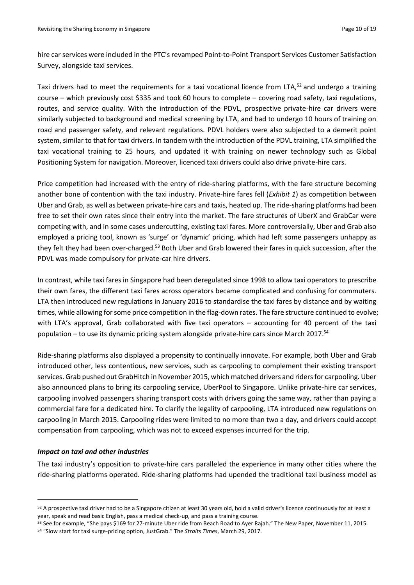hire car services were included in the PTC's revamped Point-to-Point Transport Services Customer Satisfaction Survey, alongside taxi services.

Taxi drivers had to meet the requirements for a taxi vocational licence from LTA,<sup>52</sup> and undergo a training course – which previously cost \$335 and took 60 hours to complete – covering road safety, taxi regulations, routes, and service quality. With the introduction of the PDVL, prospective private-hire car drivers were similarly subjected to background and medical screening by LTA, and had to undergo 10 hours of training on road and passenger safety, and relevant regulations. PDVL holders were also subjected to a demerit point system, similar to that for taxi drivers. In tandem with the introduction of the PDVL training, LTA simplified the taxi vocational training to 25 hours, and updated it with training on newer technology such as Global Positioning System for navigation. Moreover, licenced taxi drivers could also drive private-hire cars.

Price competition had increased with the entry of ride-sharing platforms, with the fare structure becoming another bone of contention with the taxi industry. Private-hire fares fell (*Exhibit 1*) as competition between Uber and Grab, as well as between private-hire cars and taxis, heated up. The ride-sharing platforms had been free to set their own rates since their entry into the market. The fare structures of UberX and GrabCar were competing with, and in some cases undercutting, existing taxi fares. More controversially, Uber and Grab also employed a pricing tool, known as 'surge' or 'dynamic' pricing, which had left some passengers unhappy as they felt they had been over-charged.<sup>53</sup> Both Uber and Grab lowered their fares in quick succession, after the PDVL was made compulsory for private-car hire drivers.

In contrast, while taxi fares in Singapore had been deregulated since 1998 to allow taxi operators to prescribe their own fares, the different taxi fares across operators became complicated and confusing for commuters. LTA then introduced new regulations in January 2016 to standardise the taxi fares by distance and by waiting times, while allowing for some price competition in the flag-down rates. The fare structure continued to evolve; with LTA's approval, Grab collaborated with five taxi operators – accounting for 40 percent of the taxi population – to use its dynamic pricing system alongside private-hire cars since March 2017. 54

Ride-sharing platforms also displayed a propensity to continually innovate. For example, both Uber and Grab introduced other, less contentious, new services, such as carpooling to complement their existing transport services. Grab pushed out GrabHitch in November 2015, which matched drivers and riders for carpooling. Uber also announced plans to bring its carpooling service, UberPool to Singapore. Unlike private-hire car services, carpooling involved passengers sharing transport costs with drivers going the same way, rather than paying a commercial fare for a dedicated hire. To clarify the legality of carpooling, LTA introduced new regulations on carpooling in March 2015. Carpooling rides were limited to no more than two a day, and drivers could accept compensation from carpooling, which was not to exceed expenses incurred for the trip.

#### *Impact on taxi and other industries*

**.** 

The taxi industry's opposition to private-hire cars paralleled the experience in many other cities where the ride-sharing platforms operated. Ride-sharing platforms had upended the traditional taxi business model as

<sup>52</sup> A prospective taxi driver had to be a Singapore citizen at least 30 years old, hold a valid driver's licence continuously for at least a year, speak and read basic English, pass a medical check-up, and pass a training course.

<sup>53</sup> See for example, "She pays \$169 for 27-minute Uber ride from Beach Road to Ayer Rajah." The New Paper, November 11, 2015. <sup>54</sup> "Slow start for taxi surge-pricing option, JustGrab." The *Straits Times*, March 29, 2017.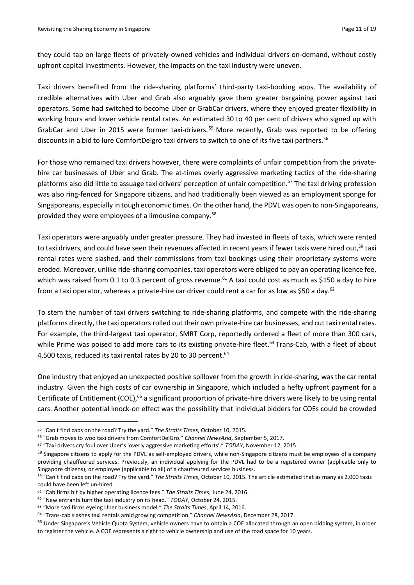they could tap on large fleets of privately-owned vehicles and individual drivers on-demand, without costly upfront capital investments. However, the impacts on the taxi industry were uneven.

Taxi drivers benefited from the ride-sharing platforms' third-party taxi-booking apps. The availability of credible alternatives with Uber and Grab also arguably gave them greater bargaining power against taxi operators. Some had switched to become Uber or GrabCar drivers, where they enjoyed greater flexibility in working hours and lower vehicle rental rates. An estimated 30 to 40 per cent of drivers who signed up with GrabCar and Uber in 2015 were former taxi-drivers.<sup>55</sup> More recently, Grab was reported to be offering discounts in a bid to lure ComfortDelgro taxi drivers to switch to one of its five taxi partners. 56

For those who remained taxi drivers however, there were complaints of unfair competition from the privatehire car businesses of Uber and Grab. The at-times overly aggressive marketing tactics of the ride-sharing platforms also did little to assuage taxi drivers' perception of unfair competition.<sup>57</sup> The taxi driving profession was also ring-fenced for Singapore citizens, and had traditionally been viewed as an employment sponge for Singaporeans, especially in tough economic times. On the other hand, the PDVL was open to non-Singaporeans, provided they were employees of a limousine company.<sup>58</sup>

Taxi operators were arguably under greater pressure. They had invested in fleets of taxis, which were rented to taxi drivers, and could have seen their revenues affected in recent years if fewer taxis were hired out,<sup>59</sup> taxi rental rates were slashed, and their commissions from taxi bookings using their proprietary systems were eroded. Moreover, unlike ride-sharing companies, taxi operators were obliged to pay an operating licence fee, which was raised from 0.1 to 0.3 percent of gross revenue.<sup>61</sup> A taxi could cost as much as \$150 a day to hire from a taxi operator, whereas a private-hire car driver could rent a car for as low as \$50 a day.<sup>62</sup>

To stem the number of taxi drivers switching to ride-sharing platforms, and compete with the ride-sharing platforms directly, the taxi operators rolled out their own private-hire car businesses, and cut taxi rental rates. For example, the third-largest taxi operator, SMRT Corp, reportedly ordered a fleet of more than 300 cars, while Prime was poised to add more cars to its existing private-hire fleet.<sup>63</sup> Trans-Cab, with a fleet of about 4,500 taxis, reduced its taxi rental rates by 20 to 30 percent.<sup>64</sup>

One industry that enjoyed an unexpected positive spillover from the growth in ride-sharing, was the car rental industry. Given the high costs of car ownership in Singapore, which included a hefty upfront payment for a Certificate of Entitlement (COE),<sup>65</sup> a significant proportion of private-hire drivers were likely to be using rental cars. Another potential knock-on effect was the possibility that individual bidders for COEs could be crowded

1

<sup>55</sup> "Can't find cabs on the road? Try the yard." *The Straits Times*, October 10, 2015.

<sup>56</sup> "Grab moves to woo taxi drivers from ComfortDelGro." *Channel NewsAsia*, September 5, 2017.

<sup>57</sup> "Taxi drivers cry foul over Uber's 'overly aggressive marketing efforts'." *TODAY*, November 12, 2015.

<sup>&</sup>lt;sup>58</sup> Singapore citizens to apply for the PDVL as self-employed drivers, while non-Singapore citizens must be employees of a company providing chauffeured services. Previously, an individual applying for the PDVL had to be a registered owner (applicable only to Singapore citizens), or employee (applicable to all) of a chauffeured services business.

<sup>59</sup> "Can't find cabs on the road? Try the yard." *The Straits Times*, October 10, 2015. The article estimated that as many as 2,000 taxis could have been left un-hired.

<sup>61</sup> "Cab firms hit by higher operating licence fees." *The Straits Times*, June 24, 2016.

<sup>62</sup> "New entrants turn the taxi industry on its head." *TODAY*, October 24, 2015.

<sup>63</sup> "More taxi firms eyeing Uber business model." *The Straits Times*, April 14, 2016.

<sup>64</sup> "Trans-cab slashes taxi rentals amid growing competition." *Channel NewsAsia*, December 28, 2017.

<sup>&</sup>lt;sup>65</sup> Under Singapore's Vehicle Quota System, vehicle owners have to obtain a COE allocated through an open bidding system, in order to register the vehicle. A COE represents a right to vehicle ownership and use of the road space for 10 years.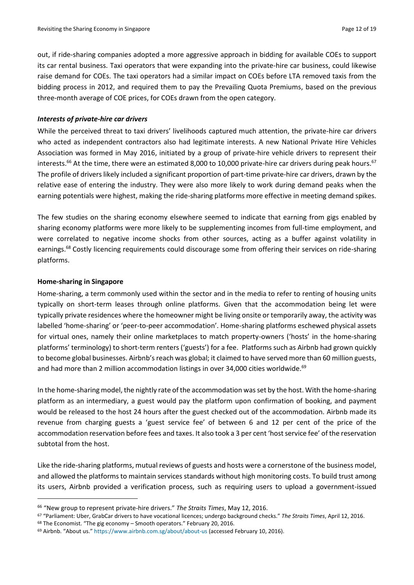out, if ride-sharing companies adopted a more aggressive approach in bidding for available COEs to support its car rental business. Taxi operators that were expanding into the private-hire car business, could likewise raise demand for COEs. The taxi operators had a similar impact on COEs before LTA removed taxis from the bidding process in 2012, and required them to pay the Prevailing Quota Premiums, based on the previous three-month average of COE prices, for COEs drawn from the open category.

# *Interests of private-hire car drivers*

While the perceived threat to taxi drivers' livelihoods captured much attention, the private-hire car drivers who acted as independent contractors also had legitimate interests. A new National Private Hire Vehicles Association was formed in May 2016, initiated by a group of private-hire vehicle drivers to represent their interests.<sup>66</sup> At the time, there were an estimated 8,000 to 10,000 private-hire car drivers during peak hours.<sup>67</sup> The profile of drivers likely included a significant proportion of part-time private-hire car drivers, drawn by the relative ease of entering the industry. They were also more likely to work during demand peaks when the earning potentials were highest, making the ride-sharing platforms more effective in meeting demand spikes.

The few studies on the sharing economy elsewhere seemed to indicate that earning from gigs enabled by sharing economy platforms were more likely to be supplementing incomes from full-time employment, and were correlated to negative income shocks from other sources, acting as a buffer against volatility in earnings.<sup>68</sup> Costly licencing requirements could discourage some from offering their services on ride-sharing platforms.

# **Home-sharing in Singapore**

**.** 

Home-sharing, a term commonly used within the sector and in the media to refer to renting of housing units typically on short-term leases through online platforms. Given that the accommodation being let were typically private residences where the homeowner might be living onsite or temporarily away, the activity was labelled 'home-sharing' or 'peer-to-peer accommodation'. Home-sharing platforms eschewed physical assets for virtual ones, namely their online marketplaces to match property-owners ('hosts' in the home-sharing platforms' terminology) to short-term renters ('guests') for a fee. Platforms such as Airbnb had grown quickly to become global businesses. Airbnb's reach was global; it claimed to have served more than 60 million guests, and had more than 2 million accommodation listings in over 34,000 cities worldwide.<sup>69</sup>

In the home-sharing model, the nightly rate of the accommodation was set by the host. With the home-sharing platform as an intermediary, a guest would pay the platform upon confirmation of booking, and payment would be released to the host 24 hours after the guest checked out of the accommodation. Airbnb made its revenue from charging guests a 'guest service fee' of between 6 and 12 per cent of the price of the accommodation reservation before fees and taxes. It also took a 3 per cent 'host service fee' of the reservation subtotal from the host.

Like the ride-sharing platforms, mutual reviews of guests and hosts were a cornerstone of the business model, and allowed the platforms to maintain services standards without high monitoring costs. To build trust among its users, Airbnb provided a verification process, such as requiring users to upload a government-issued

<sup>66</sup> "New group to represent private-hire drivers." *The Straits Times*, May 12, 2016.

<sup>67</sup> "Parliament: Uber, GrabCar drivers to have vocational licences; undergo background checks." *The Straits Times*, April 12, 2016.

<sup>68</sup> The Economist. "The gig economy – Smooth operators." February 20, 2016.

<sup>69</sup> Airbnb. "About us." <https://www.airbnb.com.sg/about/about-us> (accessed February 10, 2016).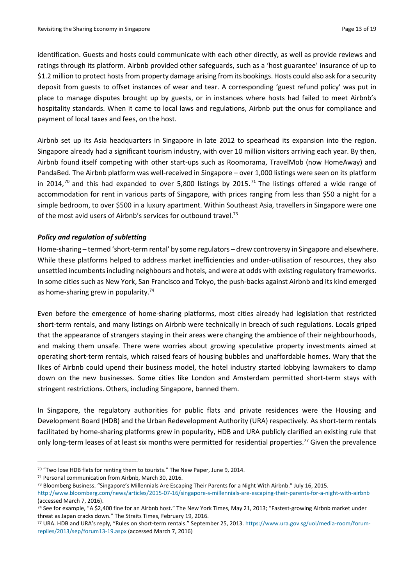identification. Guests and hosts could communicate with each other directly, as well as provide reviews and ratings through its platform. Airbnb provided other safeguards, such as a 'host guarantee' insurance of up to \$1.2 million to protect hosts from property damage arising from its bookings. Hosts could also ask for a security deposit from guests to offset instances of wear and tear. A corresponding 'guest refund policy' was put in place to manage disputes brought up by guests, or in instances where hosts had failed to meet Airbnb's hospitality standards. When it came to local laws and regulations, Airbnb put the onus for compliance and payment of local taxes and fees, on the host.

Airbnb set up its Asia headquarters in Singapore in late 2012 to spearhead its expansion into the region. Singapore already had a significant tourism industry, with over 10 million visitors arriving each year. By then, Airbnb found itself competing with other start-ups such as Roomorama, TravelMob (now HomeAway) and PandaBed. The Airbnb platform was well-received in Singapore – over 1,000 listings were seen on its platform in 2014,<sup>70</sup> and this had expanded to over 5,800 listings by 2015.<sup>71</sup> The listings offered a wide range of accommodation for rent in various parts of Singapore, with prices ranging from less than \$50 a night for a simple bedroom, to over \$500 in a luxury apartment. Within Southeast Asia, travellers in Singapore were one of the most avid users of Airbnb's services for outbound travel.<sup>73</sup>

### *Policy and regulation of subletting*

Home-sharing – termed 'short-term rental' by some regulators – drew controversy in Singapore and elsewhere. While these platforms helped to address market inefficiencies and under-utilisation of resources, they also unsettled incumbents including neighbours and hotels, and were at odds with existing regulatory frameworks. In some cities such as New York, San Francisco and Tokyo, the push-backs against Airbnb and its kind emerged as home-sharing grew in popularity.<sup>74</sup>

Even before the emergence of home-sharing platforms, most cities already had legislation that restricted short-term rentals, and many listings on Airbnb were technically in breach of such regulations. Locals griped that the appearance of strangers staying in their areas were changing the ambience of their neighbourhoods, and making them unsafe. There were worries about growing speculative property investments aimed at operating short-term rentals, which raised fears of housing bubbles and unaffordable homes. Wary that the likes of Airbnb could upend their business model, the hotel industry started lobbying lawmakers to clamp down on the new businesses. Some cities like London and Amsterdam permitted short-term stays with stringent restrictions. Others, including Singapore, banned them.

In Singapore, the regulatory authorities for public flats and private residences were the Housing and Development Board (HDB) and the Urban Redevelopment Authority (URA) respectively. As short-term rentals facilitated by home-sharing platforms grew in popularity, HDB and URA publicly clarified an existing rule that only long-term leases of at least six months were permitted for residential properties.<sup>77</sup> Given the prevalence

 $\overline{\phantom{a}}$ 

<sup>70</sup> "Two lose HDB flats for renting them to tourists." The New Paper, June 9, 2014.

<sup>71</sup> Personal communication from Airbnb, March 30, 2016.

<sup>73</sup> Bloomberg Business. "Singapore's Millennials Are Escaping Their Parents for a Night With Airbnb." July 16, 2015. <http://www.bloomberg.com/news/articles/2015-07-16/singapore-s-millennials-are-escaping-their-parents-for-a-night-with-airbnb> (accessed March 7, 2016).

<sup>74</sup> See for example, "A \$2,400 fine for an Airbnb host." The New York Times, May 21, 2013; "Fastest-growing Airbnb market under threat as Japan cracks down." The Straits Times, February 19, 2016.

<sup>77</sup> URA. HDB and URA's reply, "Rules on short-term rentals." September 25, 2013. [https://www.ura.gov.sg/uol/media-room/forum](https://www.ura.gov.sg/uol/media-room/forum-replies/2013/sep/forum13-19.aspx)[replies/2013/sep/forum13-19.aspx](https://www.ura.gov.sg/uol/media-room/forum-replies/2013/sep/forum13-19.aspx) (accessed March 7, 2016)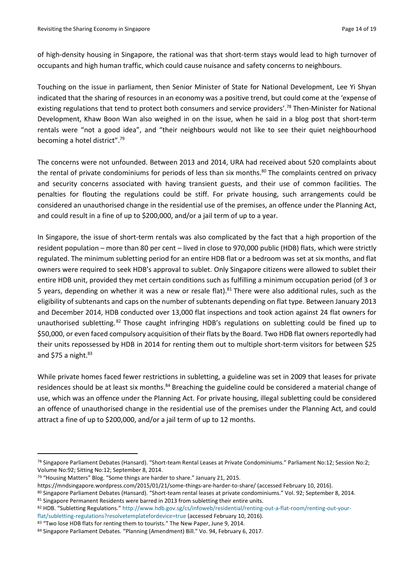of high-density housing in Singapore, the rational was that short-term stays would lead to high turnover of occupants and high human traffic, which could cause nuisance and safety concerns to neighbours.

Touching on the issue in parliament, then Senior Minister of State for National Development, Lee Yi Shyan indicated that the sharing of resources in an economy was a positive trend, but could come at the 'expense of existing regulations that tend to protect both consumers and service providers'.<sup>78</sup> Then-Minister for National Development, Khaw Boon Wan also weighed in on the issue, when he said in a blog post that short-term rentals were "not a good idea", and "their neighbours would not like to see their quiet neighbourhood becoming a hotel district".<sup>79</sup>

The concerns were not unfounded. Between 2013 and 2014, URA had received about 520 complaints about the rental of private condominiums for periods of less than six months.<sup>80</sup> The complaints centred on privacy and security concerns associated with having transient guests, and their use of common facilities. The penalties for flouting the regulations could be stiff. For private housing, such arrangements could be considered an unauthorised change in the residential use of the premises, an offence under the Planning Act, and could result in a fine of up to \$200,000, and/or a jail term of up to a year.

In Singapore, the issue of short-term rentals was also complicated by the fact that a high proportion of the resident population – more than 80 per cent – lived in close to 970,000 public (HDB) flats, which were strictly regulated. The minimum subletting period for an entire HDB flat or a bedroom was set at six months, and flat owners were required to seek HDB's approval to sublet. Only Singapore citizens were allowed to sublet their entire HDB unit, provided they met certain conditions such as fulfilling a minimum occupation period (of 3 or 5 years, depending on whether it was a new or resale flat).<sup>81</sup> There were also additional rules, such as the eligibility of subtenants and caps on the number of subtenants depending on flat type. Between January 2013 and December 2014, HDB conducted over 13,000 flat inspections and took action against 24 flat owners for unauthorised subletting.<sup>82</sup> Those caught infringing HDB's regulations on subletting could be fined up to \$50,000, or even faced compulsory acquisition of their flats by the Board. Two HDB flat owners reportedly had their units repossessed by HDB in 2014 for renting them out to multiple short-term visitors for between \$25 and \$75 a night.<sup>83</sup>

While private homes faced fewer restrictions in subletting, a guideline was set in 2009 that leases for private residences should be at least six months.<sup>84</sup> Breaching the guideline could be considered a material change of use, which was an offence under the Planning Act. For private housing, illegal subletting could be considered an offence of unauthorised change in the residential use of the premises under the Planning Act, and could attract a fine of up to \$200,000, and/or a jail term of up to 12 months.

1

<sup>78</sup> Singapore Parliament Debates (Hansard). "Short-team Rental Leases at Private Condominiums." Parliament No:12; Session No:2; Volume No:92; Sitting No:12; September 8, 2014.

<sup>79</sup> "Housing Matters" Blog. "Some things are harder to share." January 21, 2015.

<https://mndsingapore.wordpress.com/2015/01/21/some-things-are-harder-to-share/> (accessed February 10, 2016).

<sup>80</sup> Singapore Parliament Debates (Hansard). "Short-team rental leases at private condominiums." Vol. 92; September 8, 2014. 81 Singapore Permanent Residents were barred in 2013 from subletting their entire units.

<sup>82</sup> HDB. "Subletting Regulations." [http://www.hdb.gov.sg/cs/infoweb/residential/renting-out-a-flat-room/renting-out-your](http://www.hdb.gov.sg/cs/infoweb/residential/renting-out-a-flat-room/renting-out-your-flat/subletting-regulations?resolvetemplatefordevice=true)[flat/subletting-regulations?resolvetemplatefordevice=true](http://www.hdb.gov.sg/cs/infoweb/residential/renting-out-a-flat-room/renting-out-your-flat/subletting-regulations?resolvetemplatefordevice=true) (accessed February 10, 2016).

<sup>83 &</sup>quot;Two lose HDB flats for renting them to tourists." The New Paper, June 9, 2014.

<sup>84</sup> Singapore Parliament Debates. "Planning (Amendment) Bill." Vo. 94, February 6, 2017.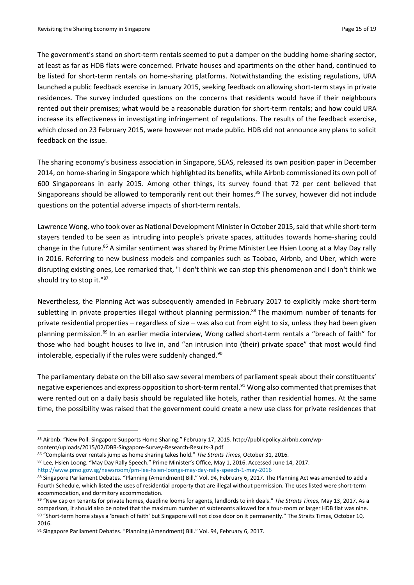The government's stand on short-term rentals seemed to put a damper on the budding home-sharing sector, at least as far as HDB flats were concerned. Private houses and apartments on the other hand, continued to be listed for short-term rentals on home-sharing platforms. Notwithstanding the existing regulations, URA launched a public feedback exercise in January 2015, seeking feedback on allowing short-term stays in private residences. The survey included questions on the concerns that residents would have if their neighbours rented out their premises; what would be a reasonable duration for short-term rentals; and how could URA increase its effectiveness in investigating infringement of regulations. The results of the feedback exercise, which closed on 23 February 2015, were however not made public. HDB did not announce any plans to solicit feedback on the issue.

The sharing economy's business association in Singapore, SEAS, released its own position paper in December 2014, on home-sharing in Singapore which highlighted its benefits, while Airbnb commissioned its own poll of 600 Singaporeans in early 2015. Among other things, its survey found that 72 per cent believed that Singaporeans should be allowed to temporarily rent out their homes. *<sup>85</sup>* The survey, however did not include questions on the potential adverse impacts of short-term rentals.

Lawrence Wong, who took over as National Development Minister in October 2015, said that while short-term stayers tended to be seen as intruding into people's private spaces, attitudes towards home-sharing could change in the future.<sup>86</sup> A similar sentiment was shared by Prime Minister Lee Hsien Loong at a May Day rally in 2016. Referring to new business models and companies such as Taobao, Airbnb, and Uber, which were disrupting existing ones, Lee remarked that, "I don't think we can stop this phenomenon and I don't think we should try to stop it."87

Nevertheless, the Planning Act was subsequently amended in February 2017 to explicitly make short-term subletting in private properties illegal without planning permission.<sup>88</sup> The maximum number of tenants for private residential properties – regardless of size – was also cut from eight to six, unless they had been given planning permission.<sup>89</sup> In an earlier media interview, Wong called short-term rentals a "breach of faith" for those who had bought houses to live in, and "an intrusion into (their) private space" that most would find intolerable, especially if the rules were suddenly changed. $90$ 

The parliamentary debate on the bill also saw several members of parliament speak about their constituents' negative experiences and express opposition to short-term rental.<sup>91</sup> Wong also commented that premises that were rented out on a daily basis should be regulated like hotels, rather than residential homes. At the same time, the possibility was raised that the government could create a new use class for private residences that

content/uploads/2015/02/DBR-Singapore-Survey-Research-Results-3.pdf

1

<http://www.pmo.gov.sg/newsroom/pm-lee-hsien-loongs-may-day-rally-speech-1-may-2016>

<sup>85</sup> Airbnb. "New Poll: Singapore Supports Home Sharing." February 17, 2015. http://publicpolicy.airbnb.com/wp-

<sup>86</sup> "Complaints over rentals jump as home sharing takes hold." *The Straits Times*, October 31, 2016.

<sup>87</sup> Lee, Hsien Loong. "May Day Rally Speech." Prime Minister's Office, May 1, 2016. Accessed June 14, 2017.

<sup>88</sup> Singapore Parliament Debates. "Planning (Amendment) Bill." Vol. 94, February 6, 2017. The Planning Act was amended to add a Fourth Schedule, which listed the uses of residential property that are illegal without permission. The uses listed were short-term accommodation, and dormitory accommodation.

<sup>89</sup> "New cap on tenants for private homes, deadline looms for agents, landlords to ink deals." *The Straits Times,* May 13, 2017. As a comparison, it should also be noted that the maximum number of subtenants allowed for a four-room or larger HDB flat was nine. 90 "Short-term home stays a 'breach of faith' but Singapore will not close door on it permanently." The Straits Times, October 10, 2016.

<sup>91</sup> Singapore Parliament Debates. "Planning (Amendment) Bill." Vol. 94, February 6, 2017.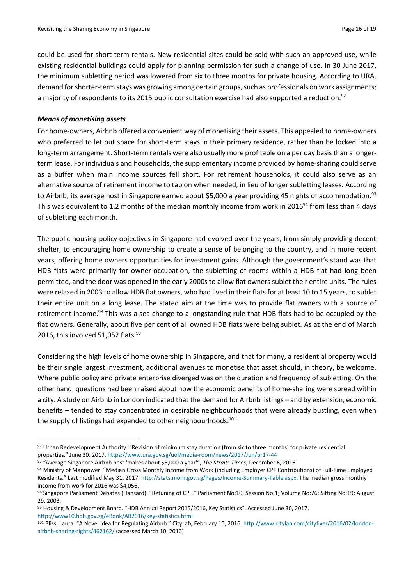could be used for short-term rentals. New residential sites could be sold with such an approved use, while existing residential buildings could apply for planning permission for such a change of use. In 30 June 2017, the minimum subletting period was lowered from six to three months for private housing. According to URA, demand for shorter-term stays was growing among certain groups, such as professionals on work assignments; a majority of respondents to its 2015 public consultation exercise had also supported a reduction.<sup>92</sup>

# *Means of monetising assets*

**.** 

For home-owners, Airbnb offered a convenient way of monetising their assets. This appealed to home-owners who preferred to let out space for short-term stays in their primary residence, rather than be locked into a long-term arrangement. Short-term rentals were also usually more profitable on a per day basis than a longerterm lease. For individuals and households, the supplementary income provided by home-sharing could serve as a buffer when main income sources fell short. For retirement households, it could also serve as an alternative source of retirement income to tap on when needed, in lieu of longer subletting leases. According to Airbnb, its average host in Singapore earned about \$5,000 a year providing 45 nights of accommodation.<sup>93</sup> This was equivalent to 1.2 months of the median monthly income from work in 2016<sup>94</sup> from less than 4 days of subletting each month.

The public housing policy objectives in Singapore had evolved over the years, from simply providing decent shelter, to encouraging home ownership to create a sense of belonging to the country, and in more recent years, offering home owners opportunities for investment gains. Although the government's stand was that HDB flats were primarily for owner-occupation, the subletting of rooms within a HDB flat had long been permitted, and the door was opened in the early 2000s to allow flat owners sublet their entire units. The rules were relaxed in 2003 to allow HDB flat owners, who had lived in their flats for at least 10 to 15 years, to sublet their entire unit on a long lease. The stated aim at the time was to provide flat owners with a source of retirement income.<sup>98</sup> This was a sea change to a longstanding rule that HDB flats had to be occupied by the flat owners. Generally, about five per cent of all owned HDB flats were being sublet. As at the end of March 2016, this involved 51,052 flats.<sup>99</sup>

Considering the high levels of home ownership in Singapore, and that for many, a residential property would be their single largest investment, additional avenues to monetise that asset should, in theory, be welcome. Where public policy and private enterprise diverged was on the duration and frequency of subletting. On the other hand, questions had been raised about how the economic benefits of home-sharing were spread within a city. A study on Airbnb in London indicated that the demand for Airbnb listings – and by extension, economic benefits – tended to stay concentrated in desirable neighbourhoods that were already bustling, even when the supply of listings had expanded to other neighbourhoods.<sup>101</sup>

<sup>92</sup> Urban Redevelopment Authority. "Revision of minimum stay duration (from six to three months) for private residential properties." June 30, 2017. <https://www.ura.gov.sg/uol/media-room/news/2017/Jun/pr17-44>

<sup>93</sup> "Average Singapore Airbnb host 'makes about \$5,000 a year'", *The Straits Times*, December 6, 2016.

<sup>94</sup> Ministry of Manpower. "Median Gross Monthly Income from Work (including Employer CPF Contributions) of Full-Time Employed Residents." Last modified May 31, 2017. [http://stats.mom.gov.sg/Pages/Income-Summary-Table.aspx.](http://stats.mom.gov.sg/Pages/Income-Summary-Table.aspx) The median gross monthly income from work for 2016 was \$4,056.

<sup>98</sup> Singapore Parliament Debates (Hansard). "Retuning of CPF." Parliament No:10; Session No:1; Volume No:76; Sitting No:19; August 29, 2003.

<sup>99</sup> Housing & Development Board. "HDB Annual Report 2015/2016, Key Statistics". Accessed June 30, 2017. <http://www10.hdb.gov.sg/eBook/AR2016/key-statistics.html>

<sup>101</sup> Bliss, Laura. "A Novel Idea for Regulating Airbnb." CityLab, February 10, 2016. [http://www.citylab.com/cityfixer/2016/02/london](http://www.citylab.com/cityfixer/2016/02/london-airbnb-sharing-rights/462162/)[airbnb-sharing-rights/462162/](http://www.citylab.com/cityfixer/2016/02/london-airbnb-sharing-rights/462162/) (accessed March 10, 2016)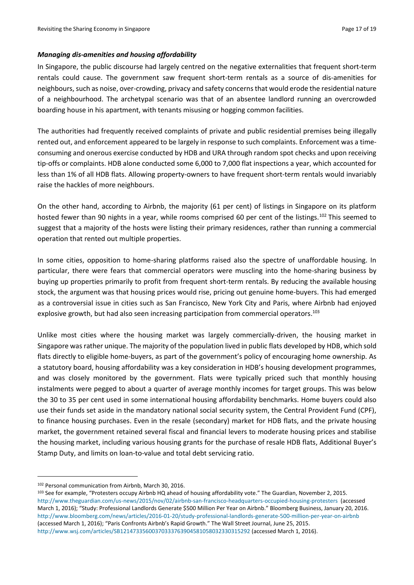### *Managing dis-amenities and housing affordability*

In Singapore, the public discourse had largely centred on the negative externalities that frequent short-term rentals could cause. The government saw frequent short-term rentals as a source of dis-amenities for neighbours, such as noise, over-crowding, privacy and safety concerns that would erode the residential nature of a neighbourhood. The archetypal scenario was that of an absentee landlord running an overcrowded boarding house in his apartment, with tenants misusing or hogging common facilities.

The authorities had frequently received complaints of private and public residential premises being illegally rented out, and enforcement appeared to be largely in response to such complaints. Enforcement was a timeconsuming and onerous exercise conducted by HDB and URA through random spot checks and upon receiving tip-offs or complaints. HDB alone conducted some 6,000 to 7,000 flat inspections a year, which accounted for less than 1% of all HDB flats. Allowing property-owners to have frequent short-term rentals would invariably raise the hackles of more neighbours.

On the other hand, according to Airbnb, the majority (61 per cent) of listings in Singapore on its platform hosted fewer than 90 nights in a year, while rooms comprised 60 per cent of the listings.<sup>102</sup> This seemed to suggest that a majority of the hosts were listing their primary residences, rather than running a commercial operation that rented out multiple properties.

In some cities, opposition to home-sharing platforms raised also the spectre of unaffordable housing. In particular, there were fears that commercial operators were muscling into the home-sharing business by buying up properties primarily to profit from frequent short-term rentals. By reducing the available housing stock, the argument was that housing prices would rise, pricing out genuine home-buyers. This had emerged as a controversial issue in cities such as San Francisco, New York City and Paris, where Airbnb had enjoyed explosive growth, but had also seen increasing participation from commercial operators.<sup>103</sup>

Unlike most cities where the housing market was largely commercially-driven, the housing market in Singapore was rather unique. The majority of the population lived in public flats developed by HDB, which sold flats directly to eligible home-buyers, as part of the government's policy of encouraging home ownership. As a statutory board, housing affordability was a key consideration in HDB's housing development programmes, and was closely monitored by the government. Flats were typically priced such that monthly housing instalments were pegged to about a quarter of average monthly incomes for target groups. This was below the 30 to 35 per cent used in some international housing affordability benchmarks. Home buyers could also use their funds set aside in the mandatory national social security system, the Central Provident Fund (CPF), to finance housing purchases. Even in the resale (secondary) market for HDB flats, and the private housing market, the government retained several fiscal and financial levers to moderate housing prices and stabilise the housing market, including various housing grants for the purchase of resale HDB flats, Additional Buyer's Stamp Duty, and limits on loan-to-value and total debt servicing ratio.

**.** 

<sup>102</sup> Personal communication from Airbnb, March 30, 2016.

<sup>103</sup> See for example, "Protesters occupy Airbnb HQ ahead of housing affordability vote." The Guardian, November 2, 2015. <http://www.theguardian.com/us-news/2015/nov/02/airbnb-san-francisco-headquarters-occupied-housing-protesters> (accessed March 1, 2016); "Study: Professional Landlords Generate \$500 Million Per Year on Airbnb." Bloomberg Business, January 20, 2016. <http://www.bloomberg.com/news/articles/2016-01-20/study-professional-landlords-generate-500-million-per-year-on-airbnb> (accessed March 1, 2016); "Paris Confronts Airbnb's Rapid Growth." The Wall Street Journal, June 25, 2015. <http://www.wsj.com/articles/SB12147335600370333763904581058032330315292> (accessed March 1, 2016).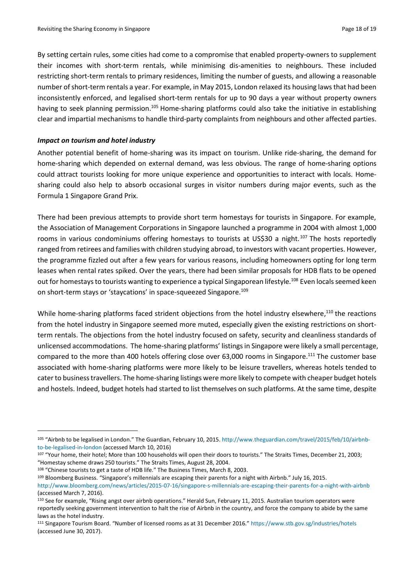By setting certain rules, some cities had come to a compromise that enabled property-owners to supplement their incomes with short-term rentals, while minimising dis-amenities to neighbours. These included restricting short-term rentals to primary residences, limiting the number of guests, and allowing a reasonable number of short-term rentals a year. For example, in May 2015, London relaxed its housing lawsthat had been inconsistently enforced, and legalised short-term rentals for up to 90 days a year without property owners having to seek planning permission.<sup>105</sup> Home-sharing platforms could also take the initiative in establishing clear and impartial mechanisms to handle third-party complaints from neighbours and other affected parties.

#### *Impact on tourism and hotel industry*

Another potential benefit of home-sharing was its impact on tourism. Unlike ride-sharing, the demand for home-sharing which depended on external demand, was less obvious. The range of home-sharing options could attract tourists looking for more unique experience and opportunities to interact with locals. Homesharing could also help to absorb occasional surges in visitor numbers during major events, such as the Formula 1 Singapore Grand Prix.

There had been previous attempts to provide short term homestays for tourists in Singapore. For example, the Association of Management Corporations in Singapore launched a programme in 2004 with almost 1,000 rooms in various condominiums offering homestays to tourists at US\$30 a night.<sup>107</sup> The hosts reportedly ranged from retirees and families with children studying abroad, to investors with vacant properties. However, the programme fizzled out after a few years for various reasons, including homeowners opting for long term leases when rental rates spiked. Over the years, there had been similar proposals for HDB flats to be opened out for homestays to tourists wanting to experience a typical Singaporean lifestyle.<sup>108</sup> Even locals seemed keen on short-term stays or 'staycations' in space-squeezed Singapore.<sup>109</sup>

While home-sharing platforms faced strident objections from the hotel industry elsewhere,<sup>110</sup> the reactions from the hotel industry in Singapore seemed more muted, especially given the existing restrictions on shortterm rentals. The objections from the hotel industry focused on safety, security and cleanliness standards of unlicensed accommodations. The home-sharing platforms' listings in Singapore were likely a small percentage, compared to the more than 400 hotels offering close over 63,000 rooms in Singapore.<sup>111</sup> The customer base associated with home-sharing platforms were more likely to be leisure travellers, whereas hotels tended to cater to business travellers. The home-sharing listings were more likely to compete with cheaper budget hotels and hostels. Indeed, budget hotels had started to list themselves on such platforms. At the same time, despite

<sup>108</sup> "Chinese tourists to get a taste of HDB life." The Business Times, March 8, 2003.

1

<sup>109</sup> Bloomberg Business. "Singapore's millennials are escaping their parents for a night with Airbnb." July 16, 2015.

<sup>105</sup> "Airbnb to be legalised in London." The Guardian, February 10, 2015. [http://www.theguardian.com/travel/2015/feb/10/airbnb](http://www.theguardian.com/travel/2015/feb/10/airbnb-to-be-legalised-in-london)[to-be-legalised-in-london](http://www.theguardian.com/travel/2015/feb/10/airbnb-to-be-legalised-in-london) (accessed March 10, 2016)

<sup>107</sup> "Your home, their hotel; More than 100 households will open their doors to tourists." The Straits Times, December 21, 2003; "Homestay scheme draws 250 tourists." The Straits Times, August 28, 2004.

<http://www.bloomberg.com/news/articles/2015-07-16/singapore-s-millennials-are-escaping-their-parents-for-a-night-with-airbnb> (accessed March 7, 2016).

<sup>110</sup> See for example, "Rising angst over airbnb operations." Herald Sun, February 11, 2015. Australian tourism operators were reportedly seeking government intervention to halt the rise of Airbnb in the country, and force the company to abide by the same laws as the hotel industry.

<sup>111</sup> Singapore Tourism Board. "Number of licensed rooms as at 31 December 2016." <https://www.stb.gov.sg/industries/hotels> (accessed June 30, 2017).